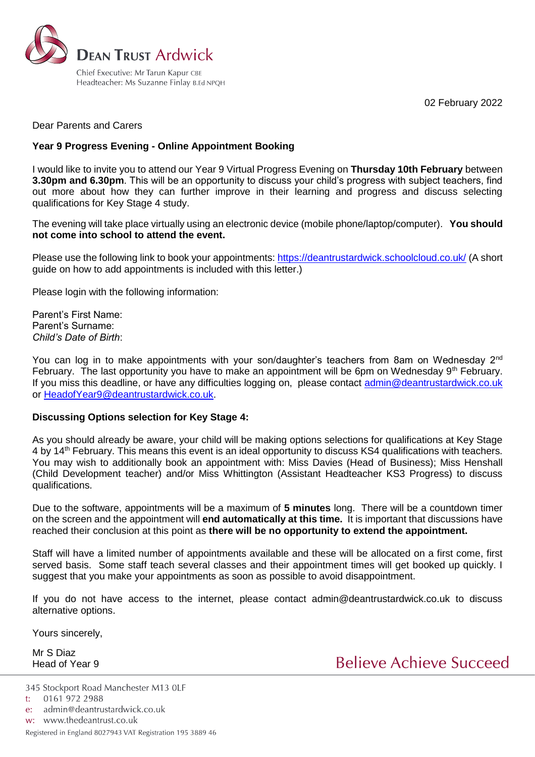

02 February 2022

Dear Parents and Carers

### **Year 9 Progress Evening - Online Appointment Booking**

I would like to invite you to attend our Year 9 Virtual Progress Evening on **Thursday 10th February** between **3.30pm and 6.30pm**. This will be an opportunity to discuss your child's progress with subject teachers, find out more about how they can further improve in their learning and progress and discuss selecting qualifications for Key Stage 4 study.

The evening will take place virtually using an electronic device (mobile phone/laptop/computer). **You should not come into school to attend the event.**

Please use the following link to book your appointments: <https://deantrustardwick.schoolcloud.co.uk/> (A short guide on how to add appointments is included with this letter.)

Please login with the following information:

Parent's First Name: Parent's Surname: *Child's Date of Birth*:

You can log in to make appointments with your son/daughter's teachers from 8am on Wednesday 2<sup>nd</sup> February. The last opportunity you have to make an appointment will be 6pm on Wednesday  $9<sup>th</sup>$  February. If you miss this deadline, or have any difficulties logging on, please contact [admin@deantrustardwick.co.uk](mailto:admin@deantrustardwick.co.uk) or [HeadofYear9@deantrustardwick.co.uk.](mailto:HeadofYear9@deantrustardwick.co.uk)

#### **Discussing Options selection for Key Stage 4:**

As you should already be aware, your child will be making options selections for qualifications at Key Stage 4 by 14th February. This means this event is an ideal opportunity to discuss KS4 qualifications with teachers. You may wish to additionally book an appointment with: Miss Davies (Head of Business); Miss Henshall (Child Development teacher) and/or Miss Whittington (Assistant Headteacher KS3 Progress) to discuss qualifications.

Due to the software, appointments will be a maximum of **5 minutes** long. There will be a countdown timer on the screen and the appointment will **end automatically at this time.** It is important that discussions have reached their conclusion at this point as **there will be no opportunity to extend the appointment.**

Staff will have a limited number of appointments available and these will be allocated on a first come, first served basis. Some staff teach several classes and their appointment times will get booked up quickly. I suggest that you make your appointments as soon as possible to avoid disappointment.

If you do not have access to the internet, please contact admin@deantrustardwick.co.uk to discuss alternative options.

Yours sincerely,

Mr S Diaz Head of Year 9

Believe Achieve Succeed

<sup>345</sup> Stockport Road Manchester M13 OLF

<sup>0161 972 2988</sup>  $t$ :

admin@deantrustardwick.co.uk e:

w: www.thedeantrust.co.uk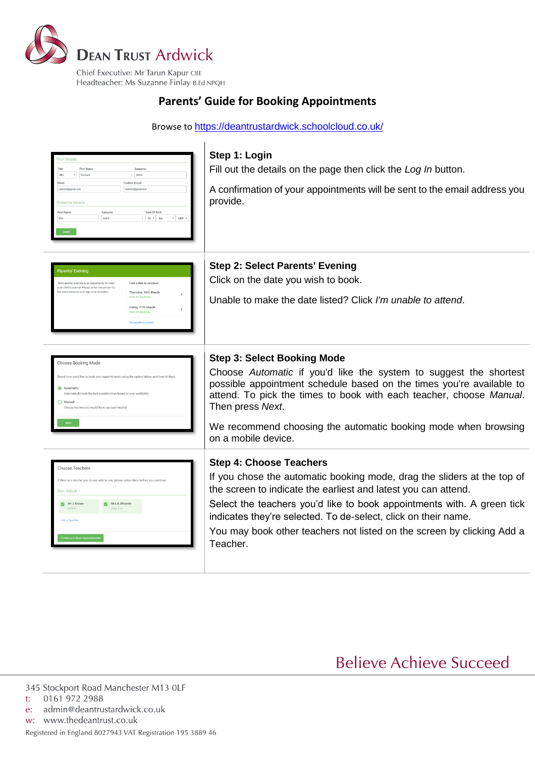

# **Parents' Guide for Booking Appointments**

Browse to <https://deantrustardwick.schoolcloud.co.uk/>



# **Believe Achieve Succeed**

345 Stockport Road Manchester M13 OLF

- 0161 972 2988  $t$ :
- admin@deantrustardwick.co.uk  $e$ :

w: www.thedeantrust.co.uk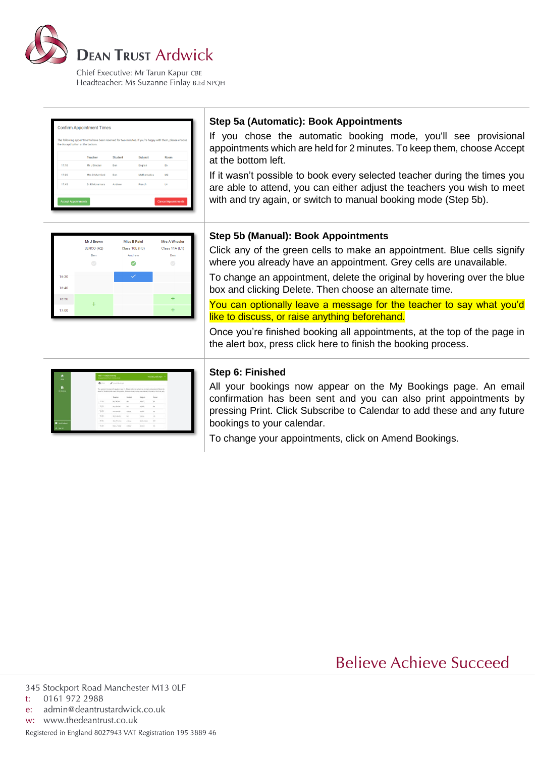

Chief Executive: Mr Tarun Kapur CBE Headteacher: Ms Suzanne Finlay B.Ed NPQH

| The following appointments have been reserved for two minutes. If you're happy with them, please choose<br>the Accept button at the bottom. |               |                |             |      |  |  |  |
|---------------------------------------------------------------------------------------------------------------------------------------------|---------------|----------------|-------------|------|--|--|--|
|                                                                                                                                             | Teacher       | <b>Student</b> | Subject     | Room |  |  |  |
| 17:10                                                                                                                                       | Mr J Sinclair | Ben            | English     | E6   |  |  |  |
| 17:25                                                                                                                                       | Mrs D Mumford | Ben            | Mathematics | M2   |  |  |  |
| 17:45                                                                                                                                       | Dr R Mcnamara | Andrew         | French      | L4   |  |  |  |

## **Step 5a (Automatic): Book Appointments**

If you chose the automatic booking mode, you'll see provisional appointments which are held for 2 minutes. To keep them, choose Accept at the bottom left.

If it wasn't possible to book every selected teacher during the times you are able to attend, you can either adjust the teachers you wish to meet with and try again, or switch to manual booking mode (Step 5b).



### **Step 5b (Manual): Book Appointments**

Click any of the green cells to make an appointment. Blue cells signify where you already have an appointment. Grey cells are unavailable.

To change an appointment, delete the original by hovering over the blue box and clicking Delete. Then choose an alternate time.

You can optionally leave a message for the teacher to say what you'd like to discuss, or raise anything beforehand.

Once you're finished booking all appointments, at the top of the page in the alert box, press click here to finish the booking process.

| ۸<br><b>Hotel</b>  | <b>New 11 Indused Strenger</b> | 4 Accordinate has control bick-                                                                                                                                                                              |                   |                | Thursday, 12th April 2 |  |  |
|--------------------|--------------------------------|--------------------------------------------------------------------------------------------------------------------------------------------------------------------------------------------------------------|-------------------|----------------|------------------------|--|--|
|                    | A con-                         | <b>A southway</b>                                                                                                                                                                                            |                   |                |                        |  |  |
| É<br><b>Hilton</b> |                                | This passes weren a for pupils to you 11. Please were the table in the nation are not believ the<br>state for the tital Hall when this eventual being about Parking is world by it the men action call and a |                   |                |                        |  |  |
|                    |                                | Teacher                                                                                                                                                                                                      | <b>Bluebard</b>   | Salares        | <b>Base</b>            |  |  |
|                    | 15:00                          | AE28391                                                                                                                                                                                                      | tion.             | MNO3           | $\lambda$              |  |  |
|                    | 15/33                          | na Januar                                                                                                                                                                                                    | into <sup>1</sup> | tripid.        | $\scriptstyle\rm II$   |  |  |
|                    | 15/15                          | ARLENGAME                                                                                                                                                                                                    | <b>AVANY</b><br>÷ | <b>Bright</b>  | $\sim$                 |  |  |
|                    | 15.30                          | <b>WHAMM</b>                                                                                                                                                                                                 | Ba's              | <b>MARINE</b>  | <b>Sales</b>           |  |  |
| <b>B</b> between   | 15:35                          | <b>Shuif Bahin</b>                                                                                                                                                                                           | <b>Analysis</b>   | Mallenhams     | 832                    |  |  |
|                    | 15.55                          | idea - Ferrar                                                                                                                                                                                                | <b>Andrew</b>     | <b>Removed</b> | $\sim$                 |  |  |

#### **Step 6: Finished**

All your bookings now appear on the My Bookings page. An email confirmation has been sent and you can also print appointments by pressing Print. Click Subscribe to Calendar to add these and any future bookings to your calendar.

To change your appointments, click on Amend Bookings.

**Believe Achieve Succeed** 

admin@deantrustardwick.co.uk e:

w: www.thedeantrust.co.uk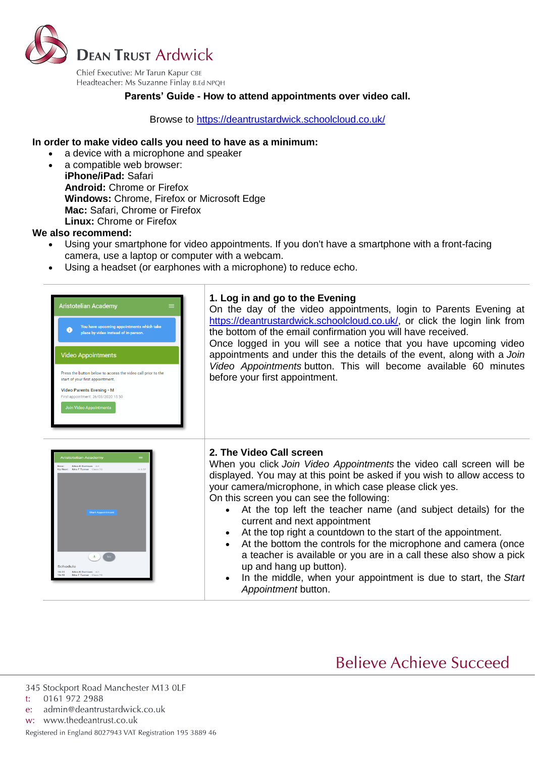

#### **Parents' Guide - How to attend appointments over video call.**

Browse to<https://deantrustardwick.schoolcloud.co.uk/>

#### **In order to make video calls you need to have as a minimum:**

- a device with a microphone and speaker
	- a compatible web browser: **iPhone/iPad:** Safari **Android:** Chrome or Firefox **Windows:** Chrome, Firefox or Microsoft Edge **Mac:** Safari, Chrome or Firefox **Linux:** Chrome or Firefox

#### **We also recommend:**

- Using your smartphone for video appointments. If you don't have a smartphone with a front-facing camera, use a laptop or computer with a webcam.
- Using a headset (or earphones with a microphone) to reduce echo.



# **Believe Achieve Succeed**

345 Stockport Road Manchester M13 OLF

- 0161 972 2988  $t$ :
- admin@deantrustardwick.co.uk  $e$ :
- w: www.thedeantrust.co.uk